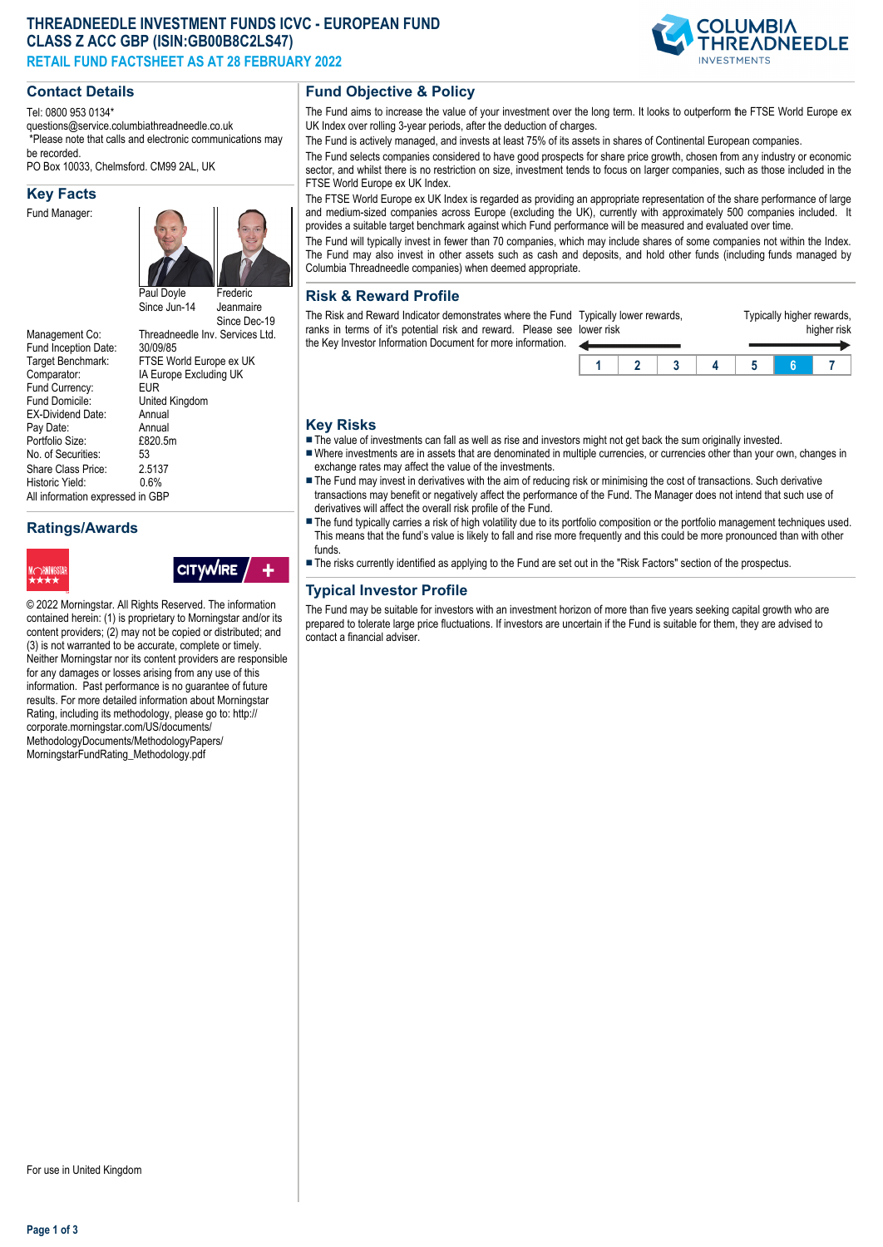## **THREADNEEDLE INVESTMENT FUNDS ICVC - EUROPEAN FUND CLASS Z ACC GBP (ISIN:GB00B8C2LS47) RETAIL FUND FACTSHEET AS AT 28 FEBRUARY 2022**

## **Contact Details**

Tel: 0800 953 0134\*

questions@service.columbiathreadneedle.co.uk \*Please note that calls and electronic communications may be recorded.

PO Box 10033, Chelmsford. CM99 2AL, UK

#### **Key Facts**

Fund Manager:



IA Europe Excluding UK<br>EUR

United Kingdom<br>Annual

Since Dec-19

Management Co: Threadneedle Inv. Services Ltd.<br>Fund Incention Date: 30/09/85 Fund Inception Date:<br>Target Benchmark: Target Benchmark: FTSE World Europe ex UK<br>Comparator: IA Europe Excluding UK Fund Currency:<br>Fund Domicile: EX-Dividend Date: Annual<br>Pav Date: Annual Pay Date: Annual<br>Portfolio Size: F820 5m Portfolio Size: £8<br>No. of Securities: 53 No. of Securities: Share Class Price: 2.5137<br>Historic Yield: 0.6% Historic Yield: All information expressed in GBP

# **Ratings/Awards**



**CITYWIRE** 

© 2022 Morningstar. All Rights Reserved. The information contained herein: (1) is proprietary to Morningstar and/or its content providers; (2) may not be copied or distributed; and (3) is not warranted to be accurate, complete or timely. Neither Morningstar nor its content providers are responsible for any damages or losses arising from any use of this information. Past performance is no guarantee of future results. For more detailed information about Morningstar Rating, including its methodology, please go to: http:// corporate.morningstar.com/US/documents/ MethodologyDocuments/MethodologyPapers/ MorningstarFundRating\_Methodology.pdf

## **Fund Objective & Policy**

The Fund aims to increase the value of your investment over the long term. It looks to outperform the FTSE World Europe ex UK Index over rolling 3-year periods, after the deduction of charges.

The Fund is actively managed, and invests at least 75% of its assets in shares of Continental European companies.

The Fund selects companies considered to have good prospects for share price growth, chosen from any industry or economic sector, and whilst there is no restriction on size, investment tends to focus on larger companies, such as those included in the FTSE World Europe ex UK Index.

The FTSE World Europe ex UK Index is regarded as providing an appropriate representation of the share performance of large and medium-sized companies across Europe (excluding the UK), currently with approximately 500 companies included. It provides a suitable target benchmark against which Fund performance will be measured and evaluated over time.

The Fund will typically invest in fewer than 70 companies, which may include shares of some companies not within the Index. The Fund may also invest in other assets such as cash and deposits, and hold other funds (including funds managed by Columbia Threadneedle companies) when deemed appropriate.

## **Risk & Reward Profile**

The Risk and Reward Indicator demonstrates where the Fund ranks in terms of it's potential risk and reward. Please see Id the Key Investor Information Document for more information. lower risk

| lower risk | Typically lower rewards, |  | Typically higher rewards,<br>higher risk |  |  |  |  |
|------------|--------------------------|--|------------------------------------------|--|--|--|--|
|            |                          |  |                                          |  |  |  |  |
|            |                          |  |                                          |  |  |  |  |

## **Key Risks**

- $\blacksquare$  The value of investments can fall as well as rise and investors might not get back the sum originally invested.
- nWhere investments are in assets that are denominated in multiple currencies, or currencies other than your own, changes in exchange rates may affect the value of the investments.
- The Fund may invest in derivatives with the aim of reducing risk or minimising the cost of transactions. Such derivative transactions may benefit or negatively affect the performance of the Fund. The Manager does not intend that such use of derivatives will affect the overall risk profile of the Fund.
- The fund typically carries a risk of high volatility due to its portfolio composition or the portfolio management techniques used. This means that the fund's value is likely to fall and rise more frequently and this could be more pronounced than with other funds.
- n The risks currently identified as applying to the Fund are set out in the "Risk Factors" section of the prospectus.

# **Typical Investor Profile**

The Fund may be suitable for investors with an investment horizon of more than five years seeking capital growth who are prepared to tolerate large price fluctuations. If investors are uncertain if the Fund is suitable for them, they are advised to contact a financial adviser.

**Page 1 of 3**

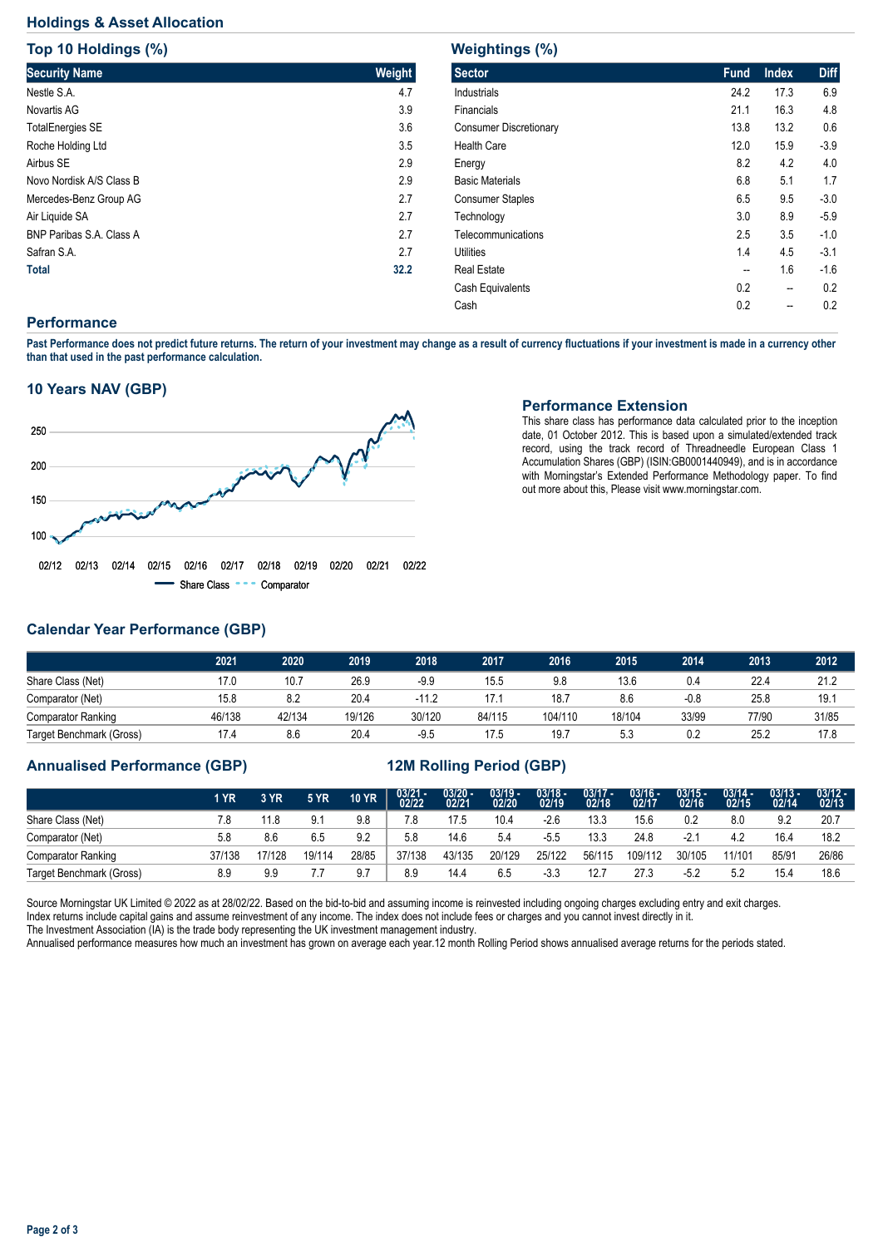## **Holdings & Asset Allocation**

**Top 10 Holdings (%)**

| <b>TOD 10 HOIGINGS (%)</b>      |        |
|---------------------------------|--------|
| <b>Security Name</b>            | Weight |
| Nestle S.A.                     | 4.7    |
| Novartis AG                     | 3.9    |
| <b>TotalEnergies SE</b>         | 3.6    |
| Roche Holding Ltd               | 3.5    |
| Airbus SE                       | 2.9    |
| Novo Nordisk A/S Class B        | 2.9    |
| Mercedes-Benz Group AG          | 2.7    |
| Air Liquide SA                  | 2.7    |
| <b>BNP Paribas S.A. Class A</b> | 2.7    |
| Safran S.A.                     | 2.7    |
| <b>Total</b>                    | 32.2   |

# **Weightings (%)**

| <b>Sector</b>           | <b>Fund</b> | <b>Index</b> | <b>Diff</b> |
|-------------------------|-------------|--------------|-------------|
| Industrials             | 24.2        | 17.3         | 6.9         |
| Financials              | 21.1        | 16.3         | 4.8         |
| Consumer Discretionary  | 13.8        | 13.2         | 0.6         |
| <b>Health Care</b>      | 12.0        | 15.9         | $-3.9$      |
| Energy                  | 8.2         | 4.2          | 4.0         |
| <b>Basic Materials</b>  | 6.8         | 5.1          | 1.7         |
| <b>Consumer Staples</b> | 6.5         | 9.5          | $-3.0$      |
| Technology              | 3.0         | 8.9          | $-5.9$      |
| Telecommunications      | 2.5         | 3.5          | $-1.0$      |
| Utilities               | 1.4         | 4.5          | $-3.1$      |
| <b>Real Estate</b>      | --          | 1.6          | $-1.6$      |
| Cash Equivalents        | 0.2         | --           | 0.2         |
| Cash                    | 0.2         | --           | 0.2         |
|                         |             |              |             |

## **Performance**

**Past Performance does not predict future returns. The return of your investment may change as a result of currency fluctuations if your investment is made in a currency other than that used in the past performance calculation.** 

### **10 Years NAV (GBP)**



### **Performance Extension**

This share class has performance data calculated prior to the inception date, 01 October 2012. This is based upon a simulated/extended track record, using the track record of Threadneedle European Class 1 Accumulation Shares (GBP) (ISIN:GB0001440949), and is in accordance with Morningstar's Extended Performance Methodology paper. To find out more about this, Please visit www.morningstar.com.

# **Calendar Year Performance (GBP)**

|                           | 2021   | 2020   | 2019   | 2018    | 2017   | 2016    | 2015   | 2014   | 2013  | 2012  |
|---------------------------|--------|--------|--------|---------|--------|---------|--------|--------|-------|-------|
| Share Class (Net)         | 17.0   | 10.7   | 26.9   | $-9.9$  | 15.5   | 9.8     | 13.6   | 0.4    | 22.4  | 21.2  |
| Comparator (Net)          | 15.8   | 8.2    | 20.4   | $-11.2$ | 17.1   | 18.7    | 8.6    | $-0.8$ | 25.8  | 19.1  |
| <b>Comparator Ranking</b> | 46/138 | 42/134 | 19/126 | 30/120  | 84/115 | 104/110 | 18/104 | 33/99  | 77/90 | 31/85 |
| Target Benchmark (Gross)  | 17.4   | 8.6    | 20.4   | $-9.5$  | 17.5   | 19.7    | 5.3    | 0.2    | 25.2  | 17.8  |

### **Annualised Performance (GBP) 12M Rolling Period (GBP)**

|                           | 1 YR   | 3 YR   | <b>5 YR</b> | <b>10 YR</b> | $03/21 - 02/22$ | $\frac{03/20 - 0.21}{02/21}$ | $03/19 - 02/20$ | $\frac{03/18 - 02}{19}$ | $03/17 -$<br>02/18 | $03/16 -$<br>02/17 | $03/15 -$<br>02/16 | $03/14 -$<br>02/15 | $03/13 -$<br>02/14 | $03/12 -$<br>02/13 |
|---------------------------|--------|--------|-------------|--------------|-----------------|------------------------------|-----------------|-------------------------|--------------------|--------------------|--------------------|--------------------|--------------------|--------------------|
| Share Class (Net)         | 7.8    | 11.8   | 9.1         | 9.8          | 7.8             | 17.5                         | 10.4            | $-2.6$                  | 13.3               | 15.6               | 0.2                | 8.0                | 9.2                | 20.7               |
| Comparator (Net)          | 5.8    | 8.6    | 6.5         | 9.2          | 5.8             | 14.6                         | 5.4             | -5.5                    | 13.3               | 24.8               | $-2.1$             | 4.2                | 16.4               | 18.2               |
| <b>Comparator Ranking</b> | 37/138 | 17/128 | 19/114      | 28/85        | 37/138          | 43/135                       | 20/129          | 25/122                  | 56/115             | 109/112            | 30/105             | 11/101             | 85/91              | 26/86              |
| Target Benchmark (Gross)  | 8.9    | 9.9    |             | 9.7          | 8.9             | 14.4                         | 6.5             | $-3.3$                  | 12.7               | 27.3               | $-5.2$             | 5.2                | 15.4               | 18.6               |

Source Morningstar UK Limited © 2022 as at 28/02/22. Based on the bid-to-bid and assuming income is reinvested including ongoing charges excluding entry and exit charges. Index returns include capital gains and assume reinvestment of any income. The index does not include fees or charges and you cannot invest directly in it. The Investment Association (IA) is the trade body representing the UK investment management industry.

Annualised performance measures how much an investment has grown on average each year.12 month Rolling Period shows annualised average returns for the periods stated.